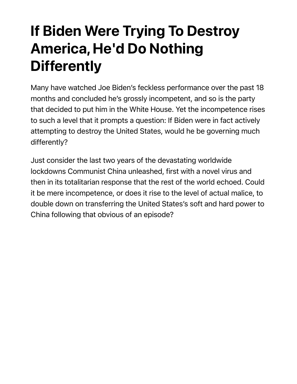## If Biden Were Trying To Destroy America, He'd Do Nothing **Differently**

Many have watched Joe Biden's feckless performance over the past 18 months and concluded he's grossly incompetent, and so is the party that decided to put him in the White House. Yet the incompetence rises to such a level that it prompts a question: If Biden were in fact actively attempting to destroy the United States, would he be governing much differently?

Just consider the last two years of the devastating worldwide lockdowns Communist China unleashed, first with a novel virus and then in its totalitarian response that the rest of the world echoed. Could it be mere incompetence, or does it rise to the level of actual malice, to double down on transferring the United States's soft and hard power to China following that obvious of an episode?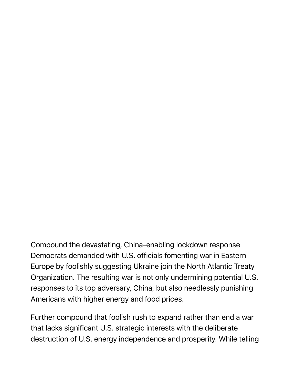Compound the devastating, China-enabling lockdown response Democrats demanded with U.S. officials fomenting war in Eastern Europe by foolishly suggesting Ukraine join the North Atlantic Treaty Organization. The resulting war is not only undermining potential U.S. responses to its top adversary, China, but also needlessly punishing Americans with higher energy and food prices.

Further compound that foolish rush to expand rather than end a war that lacks significant U.S. strategic interests with the deliberate destruction of U.S. energy independence and prosperity. While telling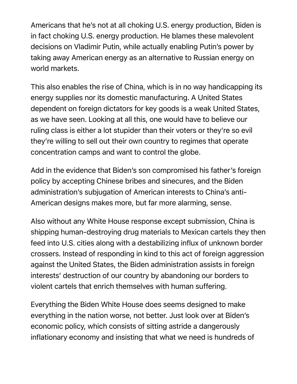Americans that he's not at all choking U.S. energy production, Biden is in fact choking U.S. energy production. He blames these malevolent decisions on Vladimir Putin, while actually enabling Putin's power by taking away American energy as an alternative to Russian energy on world markets.

This also enables the rise of China, which is in no way handicapping its energy supplies nor its domestic manufacturing. A United States dependent on foreign dictators for key goods is a weak United States, as we have seen. Looking at all this, one would have to believe our ruling class is either a lot stupider than their voters or they're so evil they're willing to sell out their own country to regimes that operate concentration camps and want to control the globe.

Add in the evidence that Biden's son compromised his father's foreign policy by accepting Chinese bribes and sinecures, and the Biden administration's subjugation of American interests to China's anti-American designs makes more, but far more alarming, sense.

Also without any White House response except submission, China is shipping human-destroying drug materials to Mexican cartels they then feed into U.S. cities along with a destabilizing influx of unknown border crossers. Instead of responding in kind to this act of foreign aggression against the United States, the Biden administration assists in foreign interests' destruction of our country by abandoning our borders to violent cartels that enrich themselves with human suffering.

Everything the Biden White House does seems designed to make everything in the nation worse, not better. Just look over at Biden's economic policy, which consists of sitting astride a dangerously inflationary economy and insisting that what we need is hundreds of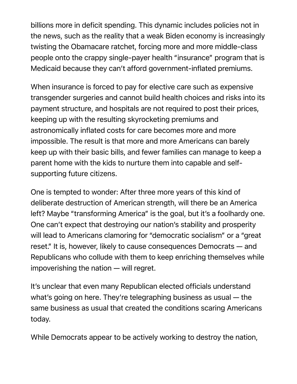billions more in deficit spending. This dynamic includes policies not in the news, such as the reality that a weak Biden economy is increasingly twisting the Obamacare ratchet, forcing more and more middle-class people onto the crappy single-payer health "insurance" program that is Medicaid because they can't afford government-inflated premiums.

When insurance is forced to pay for elective care such as expensive transgender surgeries and cannot build health choices and risks into its payment structure, and hospitals are not required to post their prices, keeping up with the resulting skyrocketing premiums and astronomically inflated costs for care becomes more and more impossible. The result is that more and more Americans can barely keep up with their basic bills, and fewer families can manage to keep a parent home with the kids to nurture them into capable and selfsupporting future citizens.

One is tempted to wonder: After three more years of this kind of deliberate destruction of American strength, will there be an America left? Maybe "transforming America" is the goal, but it's a foolhardy one. One can't expect that destroying our nation's stability and prosperity will lead to Americans clamoring for "democratic socialism" or a "great reset." It is, however, likely to cause consequences Democrats — and Republicans who collude with them to keep enriching themselves while impoverishing the nation — will regret.

It's unclear that even many Republican elected officials understand what's going on here. They're telegraphing business as usual — the same business as usual that created the conditions scaring Americans today.

While Democrats appear to be actively working to destroy the nation,